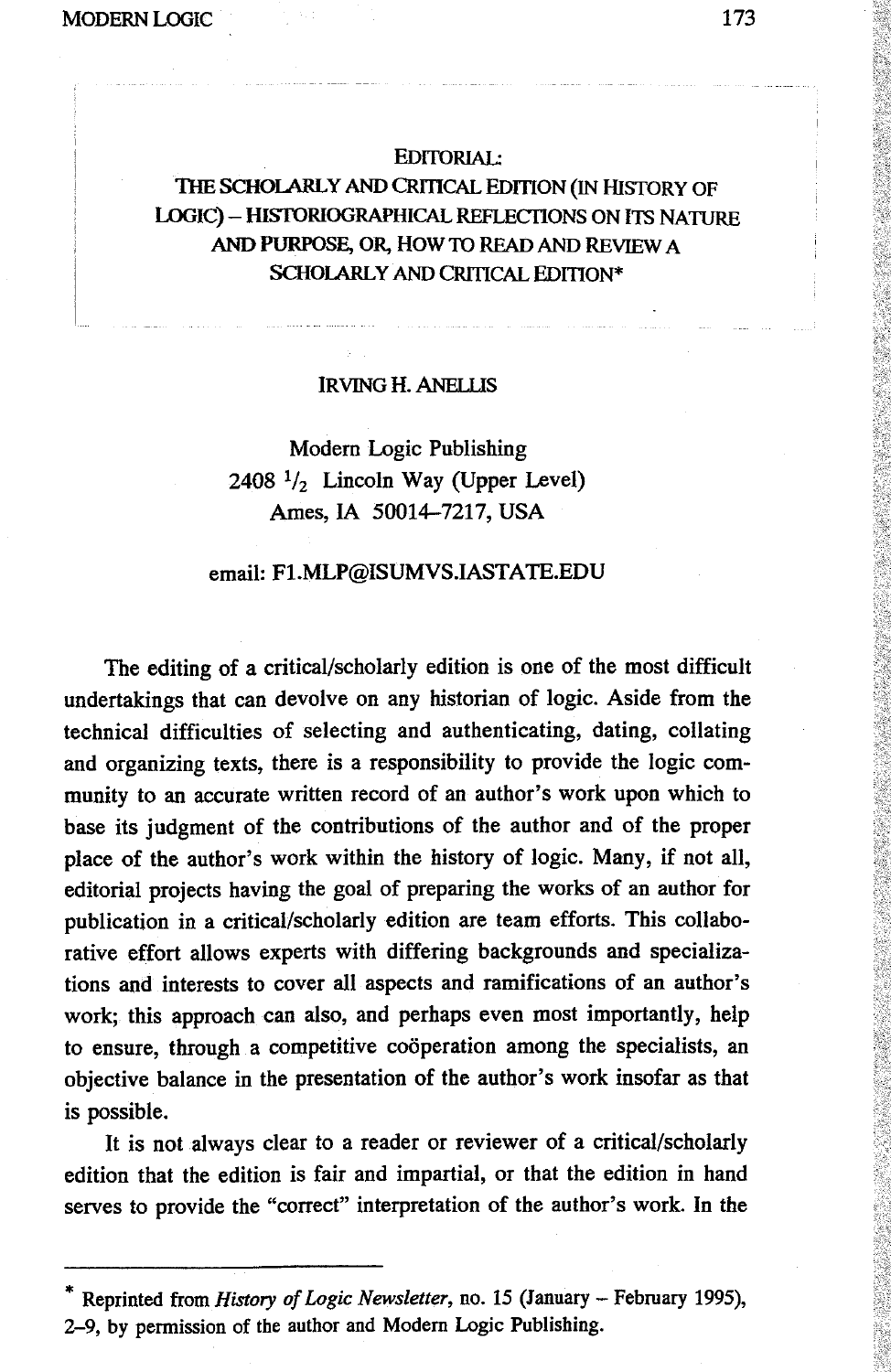### EDITORIAL:

# THE SCHOLARLY AND CRITICAL EDITION (IN HISTORY OF LOGIC) - HISTORIOGRAPHICAL REFLECTIONS ON ITS NATURE AND PURPOSE, OR, HOW TO READ AND REVIEW A SCHOLARLY AND CRITICAL EDITION\*

#### IRVING H.ANELUS

# Modern Logic Publishing 2408  $\frac{1}{2}$  Lincoln Way (Upper Level) Ames, IA 50014-7217, USA

#### email: F1.MLP@ISUMVS.IASTATE.EDU

The editing of a critical/scholarly edition is one of the most difficult undertakings that can devolve on any historian of logic. Aside from the technical difficulties of selecting and authenticating, dating, collating and organizing texts, there is a responsibility to provide the logic community to an accurate written record of an author's work upon which to base its judgment of the contributions of the author and of the proper place of the author's work within the history of logic. Many, if not all, editorial projects having the goal of preparing the works of an author for publication in a critical/scholarly edition are team efforts. This collaborative effort allows experts with differing backgrounds and specializations and interests to cover all aspects and ramifications of an author's work; this approach can also, and perhaps even most importantly, help to ensure, through a competitive cooperation among the specialists, an objective balance in the presentation of the author's work insofar as that is possible.

It is not always clear to a reader or reviewer of a critical/scholarly edition that the edition is fair and impartial, or that the edition in hand serves to provide the "correct" interpretation of the author's work. In the

Reprinted from *History of Logic Newsletter*, no. 15 (January - February 1995), 2-9, by permission of the author and Modern Logic Publishing.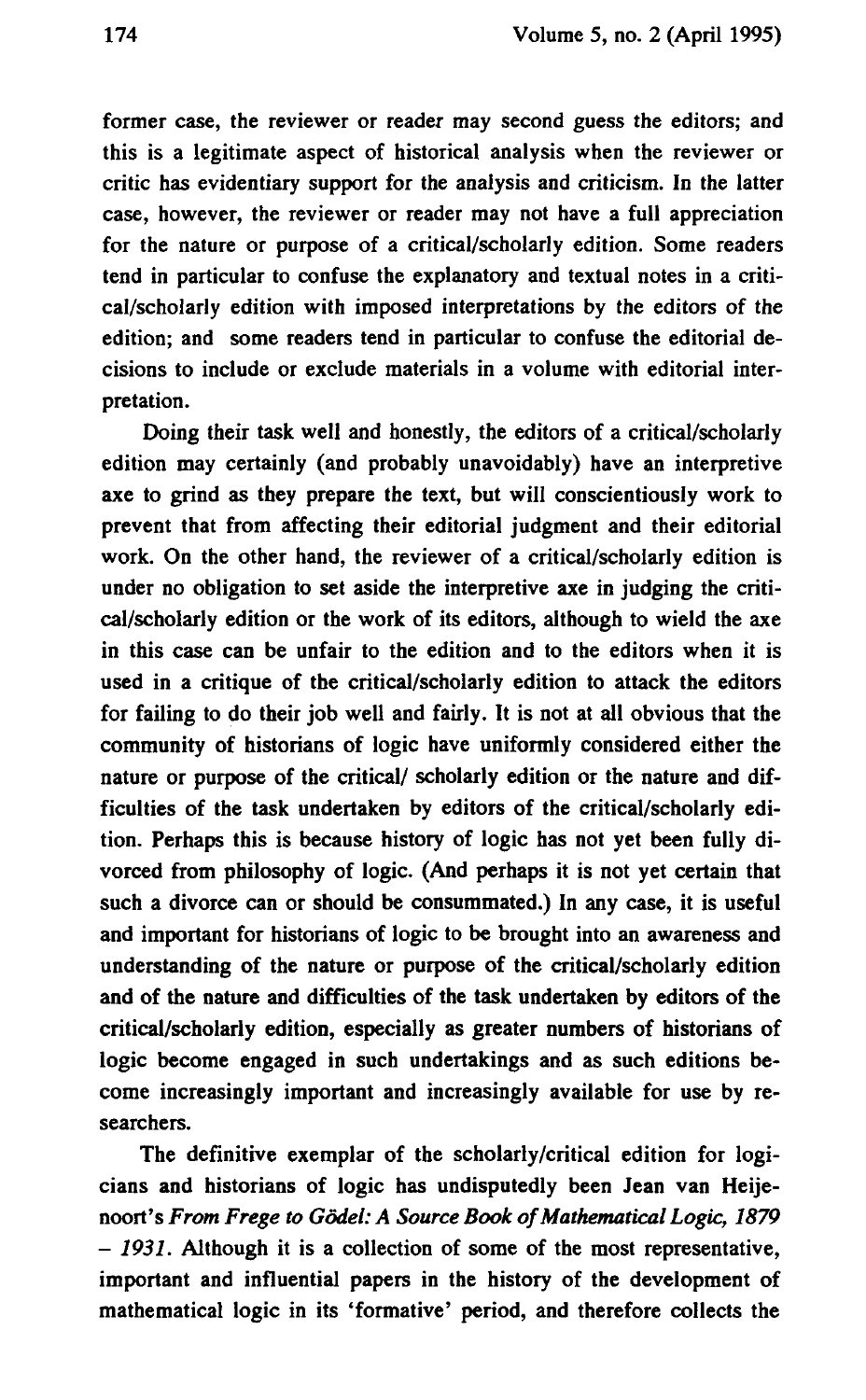**former case, the reviewer or reader may second guess the editors; and this is a legitimate aspect of historical analysis when the reviewer or critic has evidentiary support for the analysis and criticism. In the latter case, however, the reviewer or reader may not have a full appreciation for the nature or purpose of a critical/scholarly edition. Some readers tend in particular to confuse the explanatory and textual notes in a critical/scholarly edition with imposed interpretations by the editors of the edition; and some readers tend in particular to confuse the editorial decisions to include or exclude materials in a volume with editorial interpretation.**

**Doing their task well and honestly, the editors of a critical/scholarly edition may certainly (and probably unavoidably) have an interpretive axe to grind as they prepare the text, but will conscientiously work to prevent that from affecting their editorial judgment and their editorial work. On the other hand, the reviewer of a critical/scholarly edition is under no obligation to set aside the interpretive axe in judging the critical/scholarly edition or the work of its editors, although to wield the axe in this case can be unfair to the edition and to the editors when it is used in a critique of the critical/scholarly edition to attack the editors for failing to do their job well and fairly. It is not at all obvious that the community of historians of logic have uniformly considered either the nature or purpose of the critical/ scholarly edition or the nature and difficulties of the task undertaken by editors of the critical/scholarly edition. Perhaps this is because history of logic has not yet been fully divorced from philosophy of logic. (And perhaps it is not yet certain that such a divorce can or should be consummated.) In any case, it is useful and important for historians of logic to be brought into an awareness and understanding of the nature or purpose of the critical/scholarly edition and of the nature and difficulties of the task undertaken by editors of the critical/scholarly edition, especially as greater numbers of historians of logic become engaged in such undertakings and as such editions become increasingly important and increasingly available for use by researchers.**

**The definitive exemplar of the scholarly/critical edition for logicians and historians of logic has undisputedly been Jean van Heijenoort's** *From Frege to Godei: A Source Book of Mathematical Logic, 1879 - 1931.* **Although it is a collection of some of the most representative, important and influential papers in the history of the development of mathematical logic in its 'formative' period, and therefore collects the**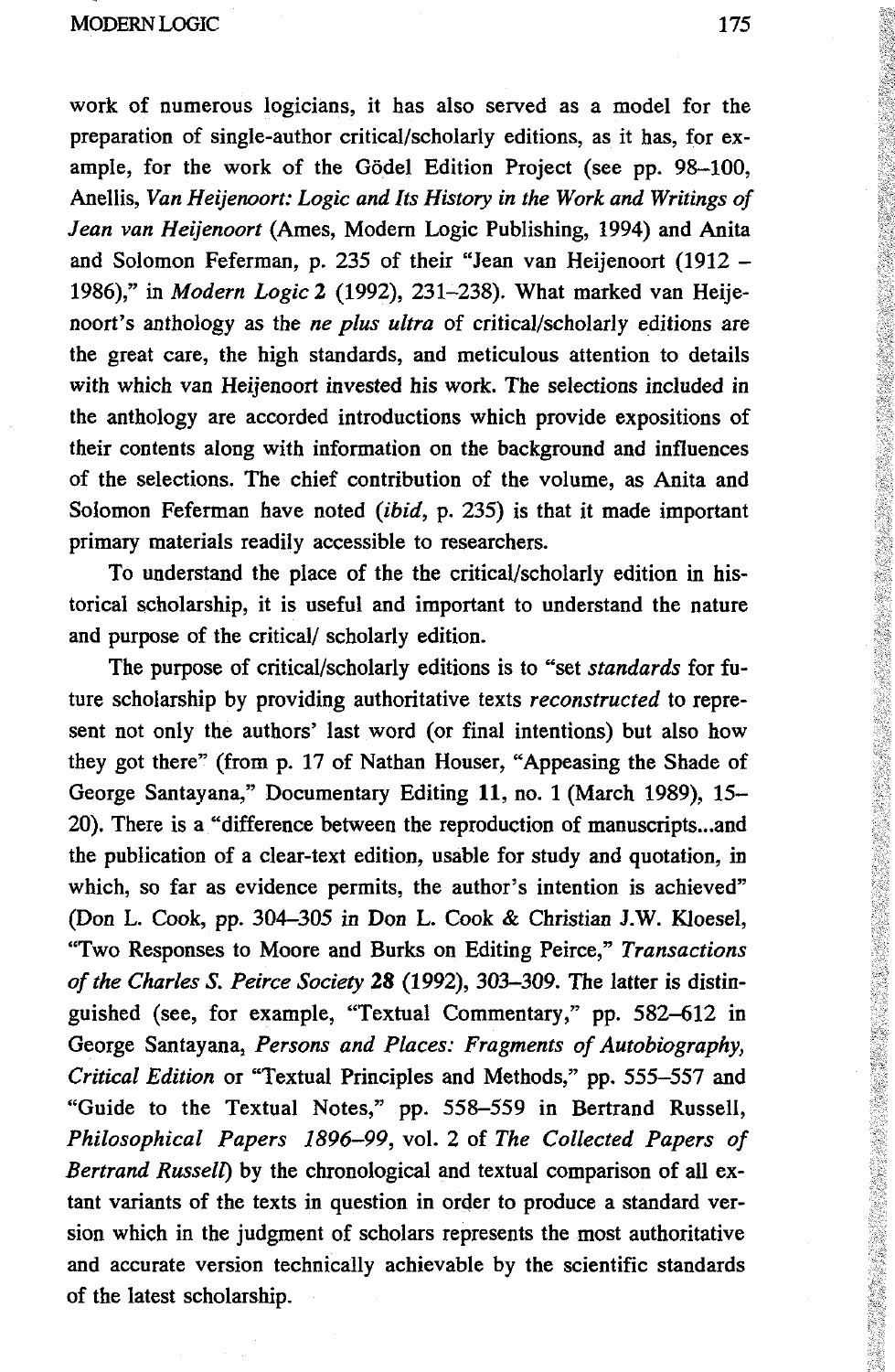work of numerous logicians, it has also served as a model for the preparation of single-author critical/scholarly editions, as it has, for example, for the work of the Godei Edition Project (see pp. 98-100, Anellis, *Van Heijenoort: Logic and Its History in the Work and Writings of Jean van Heijenoort* (Ames, Modern Logic Publishing, 1994) and Anita and Solomon Feferman, p. 235 of their "Jean van Heijenoort (1912 - 1986)," in *Modern Logic* 2 (1992), 231-238). What marked van Heijenoort's anthology as the *ne plus ultra* of critical/scholarly editions are the great care, the high standards, and meticulous attention to details with which van Heijenoort invested his work. The selections included in the anthology are accorded introductions which provide expositions of their contents along with information on the background and influences of the selections. The chief contribution of the volume, as Anita and Solomon Feferman have noted *(ibid,* p. 235) is that it made important primary materials readily accessible to researchers.

To understand the place of the the critical/scholarly edition in historical scholarship, it is useful and important to understand the nature and purpose of the critical/ scholarly edition.

The purpose of critical/scholarly editions is to "set *standards* for future scholarship by providing authoritative texts *reconstructed* to represent not only the authors' last word (or final intentions) but also how they got there" (from p. 17 of Nathan Houser, "Appeasing the Shade of George Santayana," Documentary Editing 11, no. 1 (March 1989), 15- 20). There is a "difference between the reproduction of manuscripts...and the publication of a clear-text edition, usable for study and quotation, in which, so far as evidence permits, the author's intention is achieved" (Don L. Cook, pp. 304-305 in Don L. Cook & Christian J.W. Kloesel, "Two Responses to Moore and Burks on Editing Peirce," *Transactions of the Charles S. Peirce Society* 28 (1992), 303-309. The latter is distinguished (see, for example, "Textual Commentary," pp. 582-612 in George Santayana, *Persons and Places: Fragments of Autobiography, Critical Edition* or "Textual Principles and Methods," pp. 555—557 and "Guide to the Textual Notes," pp. 558-559 in Bertrand Russell, *Philosophical Papers 1896-99,* vol. 2 of *The Collected Papers of Bertrand Russell)* by the chronological and textual comparison of all extant variants of the texts in question in order to produce a standard version which in the judgment of scholars represents the most authoritative and accurate version technically achievable by the scientific standards of the latest scholarship.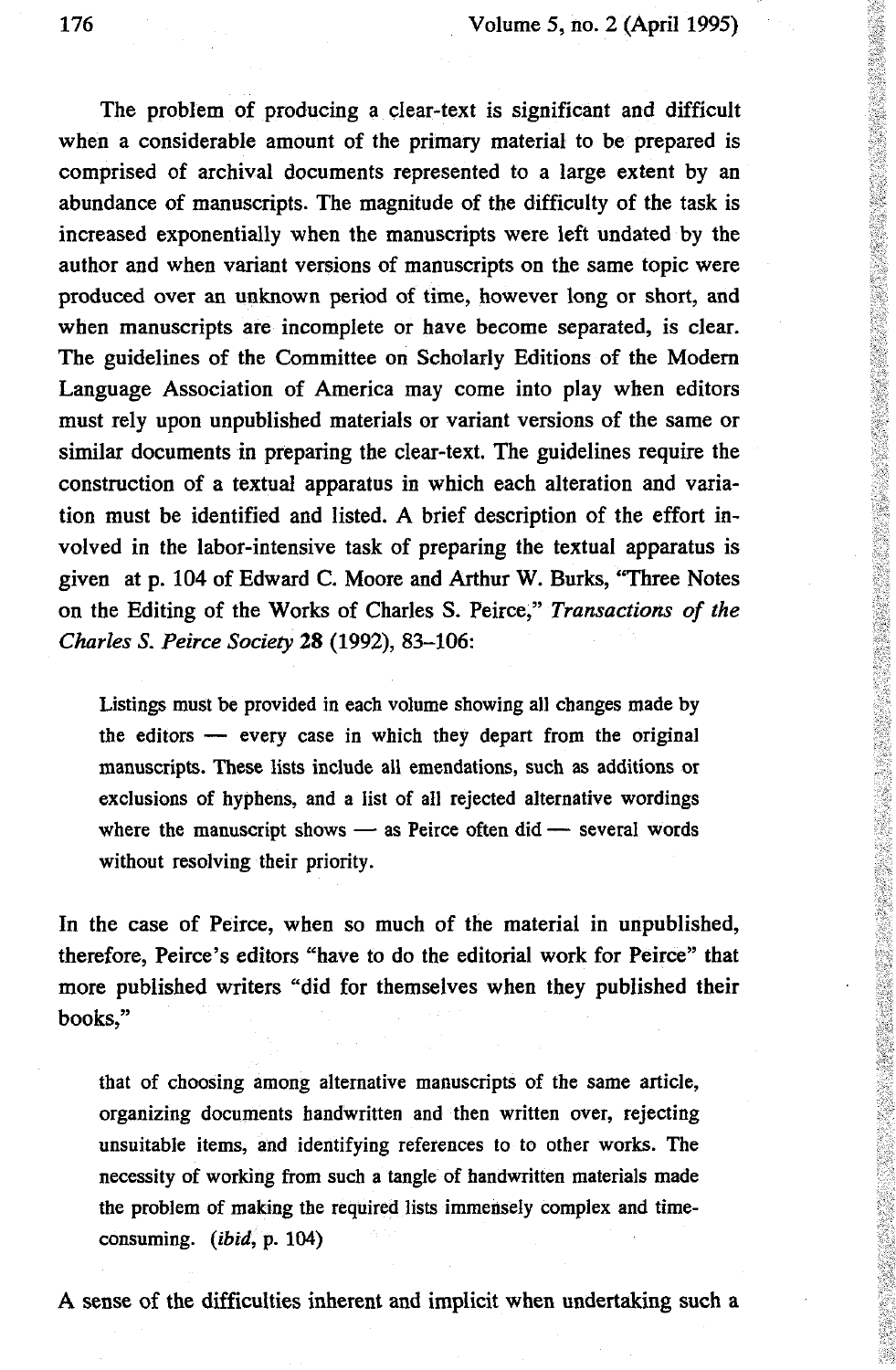## 176 Volume 5, no. 2 (April 1995)

The problem of producing a clear-text is significant and difficult when a considerable amount of the primary material to be prepared is comprised of archival documents represented to a large extent by an abundance of manuscripts. The magnitude of the difficulty of the task is increased exponentially when the manuscripts were left undated by the author and when variant versions of manuscripts on the same topic were produced over an unknown period of time, however long or short, and when manuscripts are incomplete or have become separated, is clear. The guidelines of the Committee on Scholarly Editions of the Modern Language Association of America may come into play when editors must rely upon unpublished materials or variant versions of the same or similar documents in preparing the clear-text. The guidelines require the construction of a textual apparatus in which each alteration and varia tion must be identified and listed. A brief description of the effort in volved in the labor-intensive task of preparmg the textual apparatus is given at p. 104 of Edward С Moore and Arthur W. Burks, "Three Notes on the Editing of the Works of Charles S. Peirce," *Transactions of the Charles S. Peirce Society* 28 (1992), 83-106:

Listings must be provided in each volume showing all changes made by the editors — every case in which they depart from the original manuscripts. These lists include all emendations, such as additions or exclusions of hyphens, and a list of all rejected alternative wordings where the manuscript shows — as Peirce often did — several words without resolving their priority.

In the case of Peirce, when so much of the material in unpublished, therefore, Peirce's editors "have to do the editorial work for Peirce" that more published writers "did for themselves when they published their books,"

that of choosing among alternative manuscripts of the same article, organizing documents handwritten and then written over, rejecting unsuitable items, and identifying references to to other works. The necessity of working from such a tangle of handwritten materials made the problem of making the required lists immensely complex and time consuming, *(ibid,* p. 104)

A sense of the difficulties inherent and implicit when undertaking such a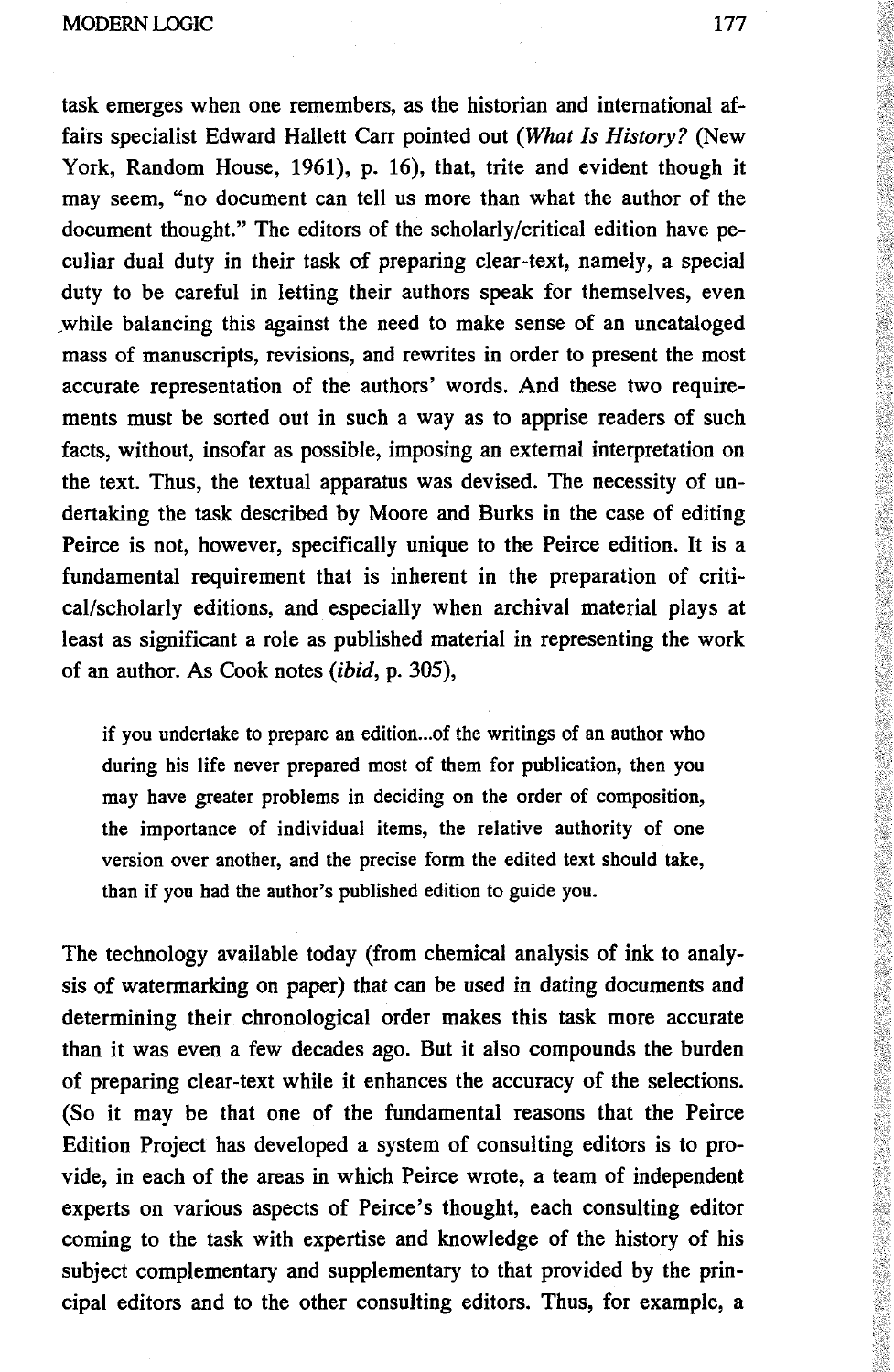MODERN LOGIC **177** 

task emerges when one remembers, as the historian and international affairs specialist Edward Hallett Carr pointed out *(What Is History?* (New York, Random House, 1961), p. 16), that, trite and evident though it may seem, "no document can tell us more than what the author of the document thought." The editors of the scholarly/critical edition have peculiar dual duty in their task of preparing clear-text, namely, a special duty to be careful in letting their authors speak for themselves, even while balancing this against the need to make sense of an uncataloged mass of manuscripts, revisions, and rewrites in order to present the most accurate representation of the authors' words. And these two requirements must be sorted out in such a way as to apprise readers of such facts, without, insofar as possible, imposing an external interpretation on the text. Thus, the textual apparatus was devised. The necessity of undertaking the task described by Moore and Burks in the case of editing Peirce is not, however, specifically unique to the Peirce edition. It is a fundamental requirement that is inherent in the preparation of critical/scholarly editions, and especially when archival material plays at least as significant a role as published material in representing the work of an author. As Cook notes *(ibid,* p. 305),

if you undertake to prepare an edition...of the writings of an author who during his life never prepared most of them for publication, then you may have greater problems in deciding on the order of composition, the importance of individual items, the relative authority of one version over another, and the precise form the edited text should take, than if you had the author's published edition to guide you.

The technology available today (from chemical analysis of ink to analysis of watermarking on paper) that can be used in dating documents and determining their chronological order makes this task more accurate than it was even a few decades ago. But it also compounds the burden of preparing clear-text while it enhances the accuracy of the selections. (So it may be that one of the fundamental reasons that the Peirce Edition Project has developed a system of consulting editors is to provide, in each of the areas in which Peirce wrote, a team of independent experts on various aspects of Peirce's thought, each consulting editor coming to the task with expertise and knowledge of the history of his subject complementary and supplementary to that provided by the principal editors and to the other consulting editors. Thus, for example, a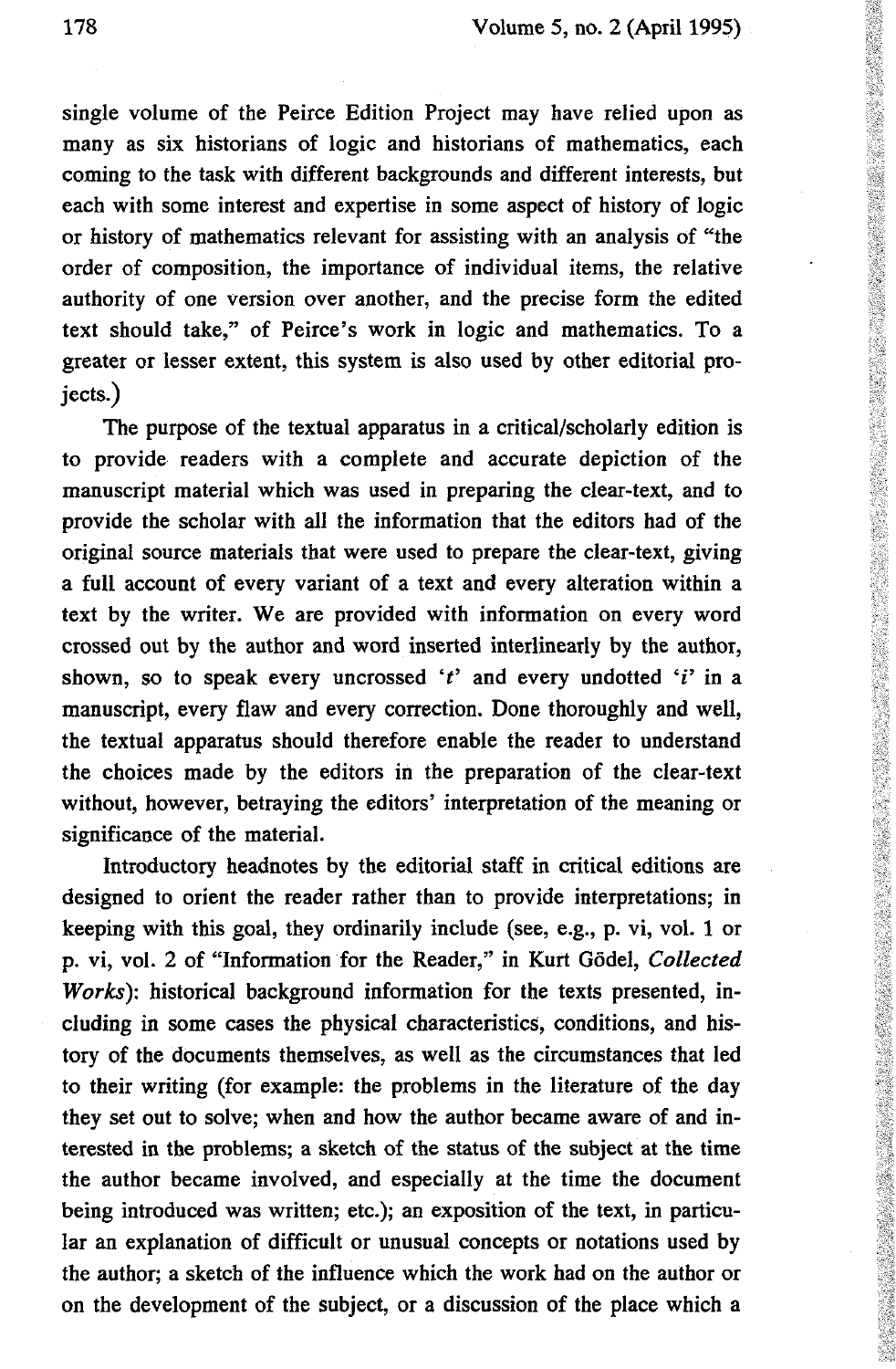single volume of the Peirce Edition Project may have relied upon as many as six historians of logic and historians of mathematics, each coming to the task with different backgrounds and different interests, but each with some interest and expertise in some aspect of history of logic or history of mathematics relevant for assisting with an analysis of "the order of composition, the importance of individual items, the relative authority of one version over another, and the precise form the edited text should take," of Peirce's work in logic and mathematics. To a greater or lesser extent, this system is also used by other editorial projects.)

The purpose of the textual apparatus in a critical/scholarly edition is to provide readers with a complete and accurate depiction of the manuscript material which was used in preparing the clear-text, and to provide the scholar with all the information that the editors had of the original source materials that were used to prepare the clear-text, giving a full account of every variant of a text and every alteration within a text by the writer. We are provided with information on every word crossed out by the author and word inserted interlinearly by the author, shown, so to speak every uncrossed 't' and every undotted 'i' in a manuscript, every flaw and every correction. Done thoroughly and well, the textual apparatus should therefore enable the reader to understand the choices made by the editors in the preparation of the clear-text without, however, betraying the editors' interpretation of the meaning or significance of the material.

Introductory headnotes by the editorial staff in critical editions are designed to orient the reader rather than to provide interpretations; in keeping with this goal, they ordinarily include (see, e.g., p. vi, vol. 1 or p. vi, vol. 2 of "Information for the Reader," in Kurt Godei, *Collected Works):* historical background information for the texts presented, including in some cases the physical characteristics, conditions, and history of the documents themselves, as well as the circumstances that led to their writing (for example: the problems in the literature of the day they set out to solve; when and how the author became aware of and interested in the problems; a sketch of the status of the subject at the time the author became involved, and especially at the time the document being introduced was written; etc.); an exposition of the text, in particular an explanation of difficult or unusual concepts or notations used by the author; a sketch of the influence which the work had on the author or on the development of the subject, or a discussion of the place which a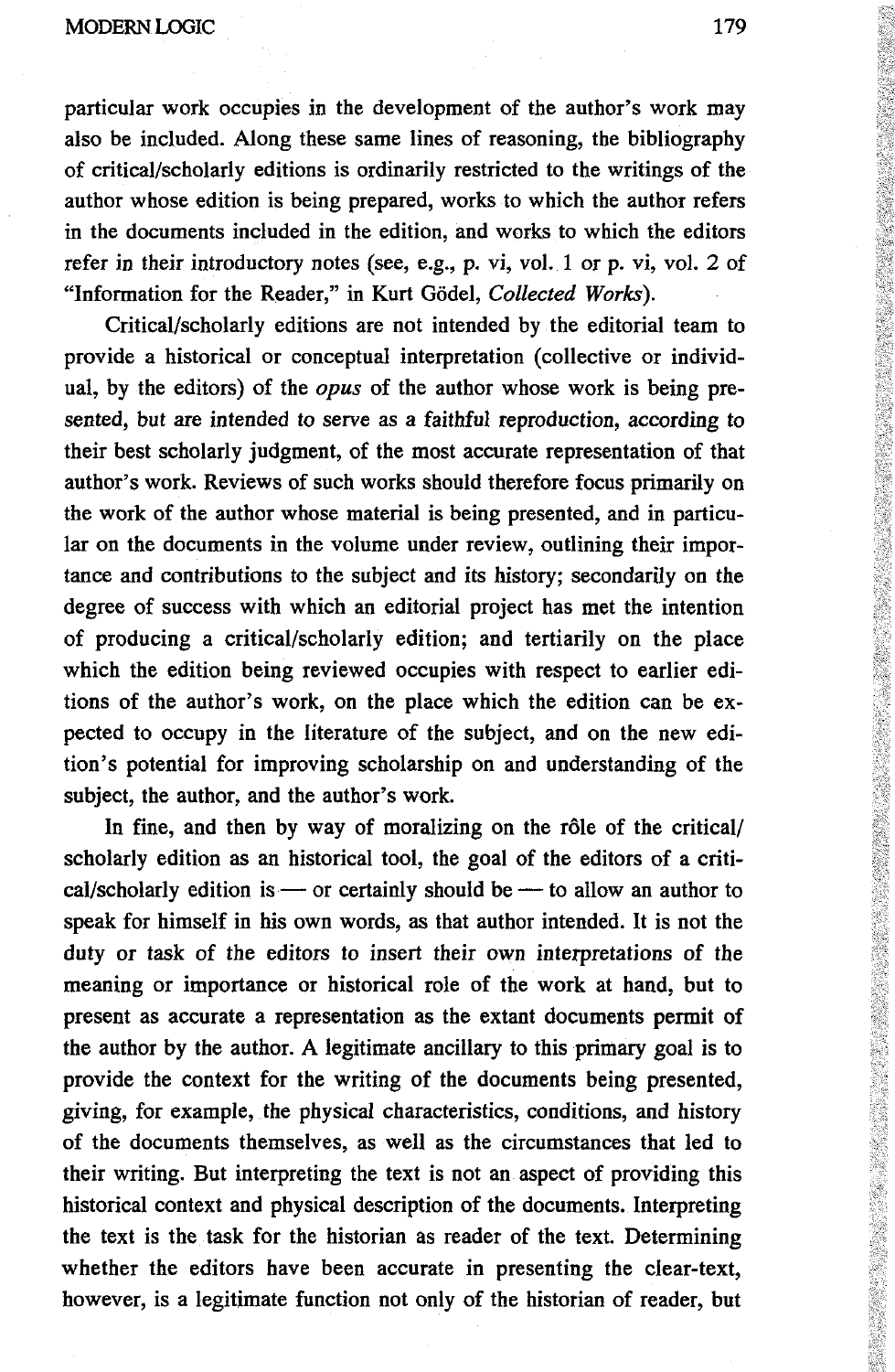particular work occupies in the development of the author's work may also be included. Along these same lines of reasoning, the bibliography of critical/scholarly editions is ordinarily restricted to the writings of the author whose edition is being prepared, works to which the author refers in the documents included in the edition, and works to which the editors refer in their introductory notes (see, e.g., p. vi, vol. 1 or p. vi, vol. 2 of "Information for the Reader," in Kurt Gödel, Collected Works).

Critical/scholarly editions are not intended by the editorial team to provide a historical or conceptual interpretation (collective or individual, by the editors) of the *opus* of the author whose work is being presented, but are intended to serve as a faithful reproduction, according to their best scholarly judgment, of the most accurate representation of that author's work. Reviews of such works should therefore focus primarily on the work of the author whose material is being presented, and in particular on the documents in the volume under review, outlining their importance and contributions to the subject and its history; secondarily on the degree of success with which an editorial project has met the intention of producing a critical/scholarly edition; and tertiarily on the place which the edition being reviewed occupies with respect to earlier editions of the author's work, on the place which the edition can be expected to occupy in the literature of the subject, and on the new edition's potential for improving scholarship on and understanding of the subject, the author, and the author's work.

In fine, and then by way of moralizing on the rôle of the critical/ scholarly edition as an historical tool, the goal of the editors of a critical/scholarly edition is — or certainly should be — to allow an author to speak for himself in his own words, as that author intended. It is not the duty or task of the editors to insert their own interpretations of the meaning or importance or historical role of the work at hand, but to present as accurate a representation as the extant documents permit of the author by the author. A legitimate ancillary to this primary goal is to provide the context for the writing of the documents being presented, giving, for example, the physical characteristics, conditions, and history of the documents themselves, as well as the circumstances that led to their writing. But interpreting the text is not an aspect of providing this historical context and physical description of the documents. Interpreting the text is the task for the historian as reader of the text. Determining whether the editors have been accurate in presenting the clear-text, however, is a legitimate function not only of the historian of reader, but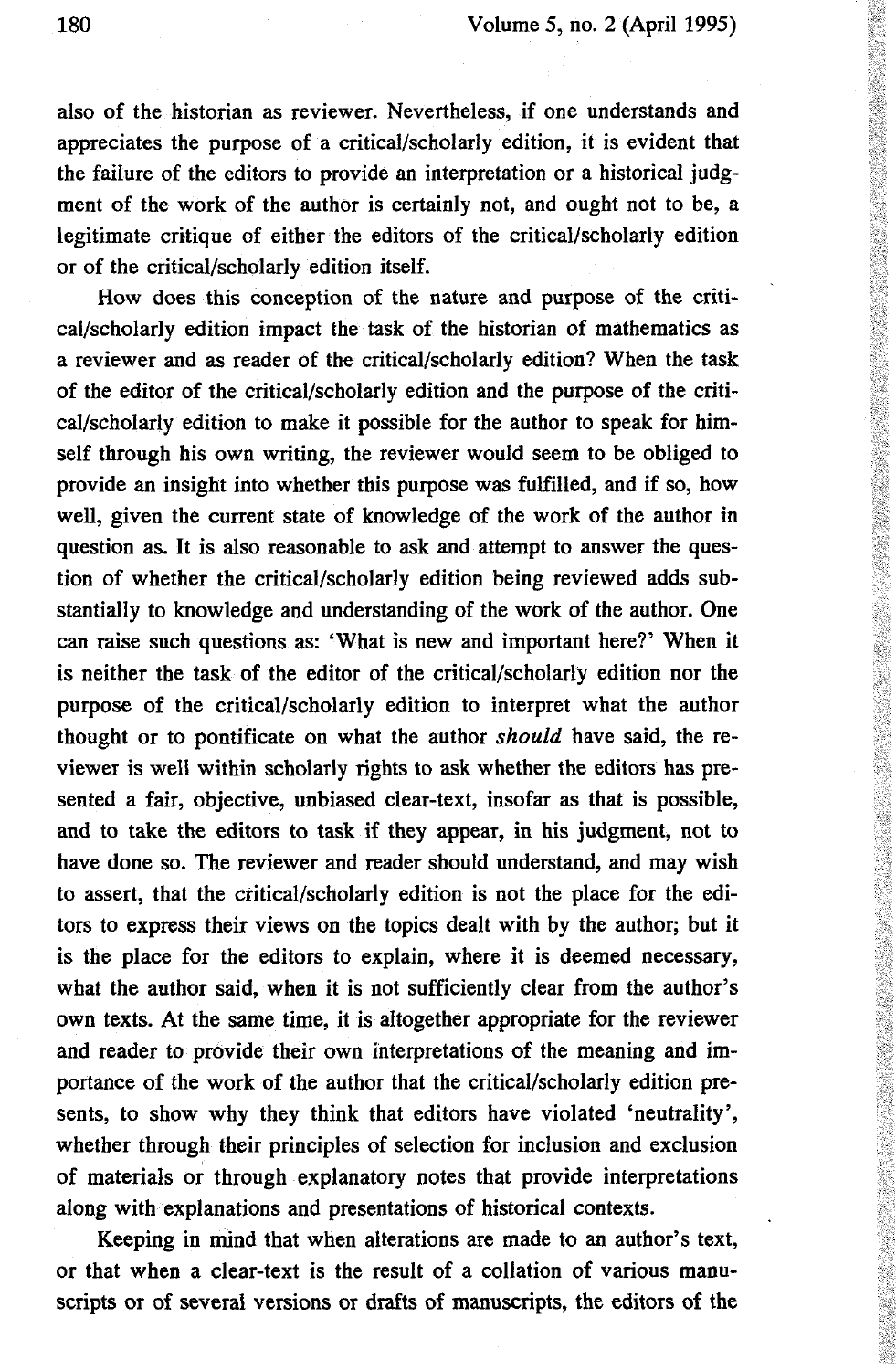also of the historian as reviewer. Nevertheless, if one understands and appreciates the purpose of a critical/scholarly edition, it is evident that the failure of the editors to provide an interpretation or a historical judgment of the work of the author is certainly not, and ought not to be, a legitimate critique of either the editors of the critical/scholarly edition or of the critical/scholarly edition itself.

How does this conception of the nature and purpose of the critical/scholarly edition impact the task of the historian of mathematics as a reviewer and as reader of the critical/scholarly edition? When the task of the editor of the critical/scholarly edition and the purpose of the critical/scholarly edition to make it possible for the author to speak for himself through his own writing, the reviewer would seem to be obliged to provide an insight into whether this purpose was fulfilled, and if so, how well, given the current state of knowledge of the work of the author in question as. It is also reasonable to ask and attempt to answer the question of whether the critical/scholarly edition being reviewed adds substantially to knowledge and understanding of the work of the author. One can raise such questions as: 'What is new and important here?' When it is neither the task of the editor of the critical/scholarly edition nor the purpose of the critical/scholarly edition to interpret what the author thought or to pontificate on what the author *should* have said, the reviewer is well within scholarly rights to ask whether the editors has presented a fair, objective, unbiased clear-text, insofar as that is possible, and to take the editors to task if they appear, in his judgment, not to have done so. The reviewer and reader should understand, and may wish to assert, that the critical/scholarly edition is not the place for the editors to express their views on the topics dealt with by the author; but it is the place for the editors to explain, where it is deemed necessary, what the author said, when it is not sufficiently clear from the author's own texts. At the same time, it is altogether appropriate for the reviewer and reader to provide their own interpretations of the meaning and importance of the work of the author that the critical/scholarly edition presents, to show why they think that editors have violated 'neutrality', whether through their principles of selection for inclusion and exclusion of materials or through explanatory notes that provide interpretations along with explanations and presentations of historical contexts.

Keeping in mind that when alterations are made to an author's text, or that when a clear-text is the result of a collation of various manuscripts or of several versions or drafts of manuscripts, the editors of the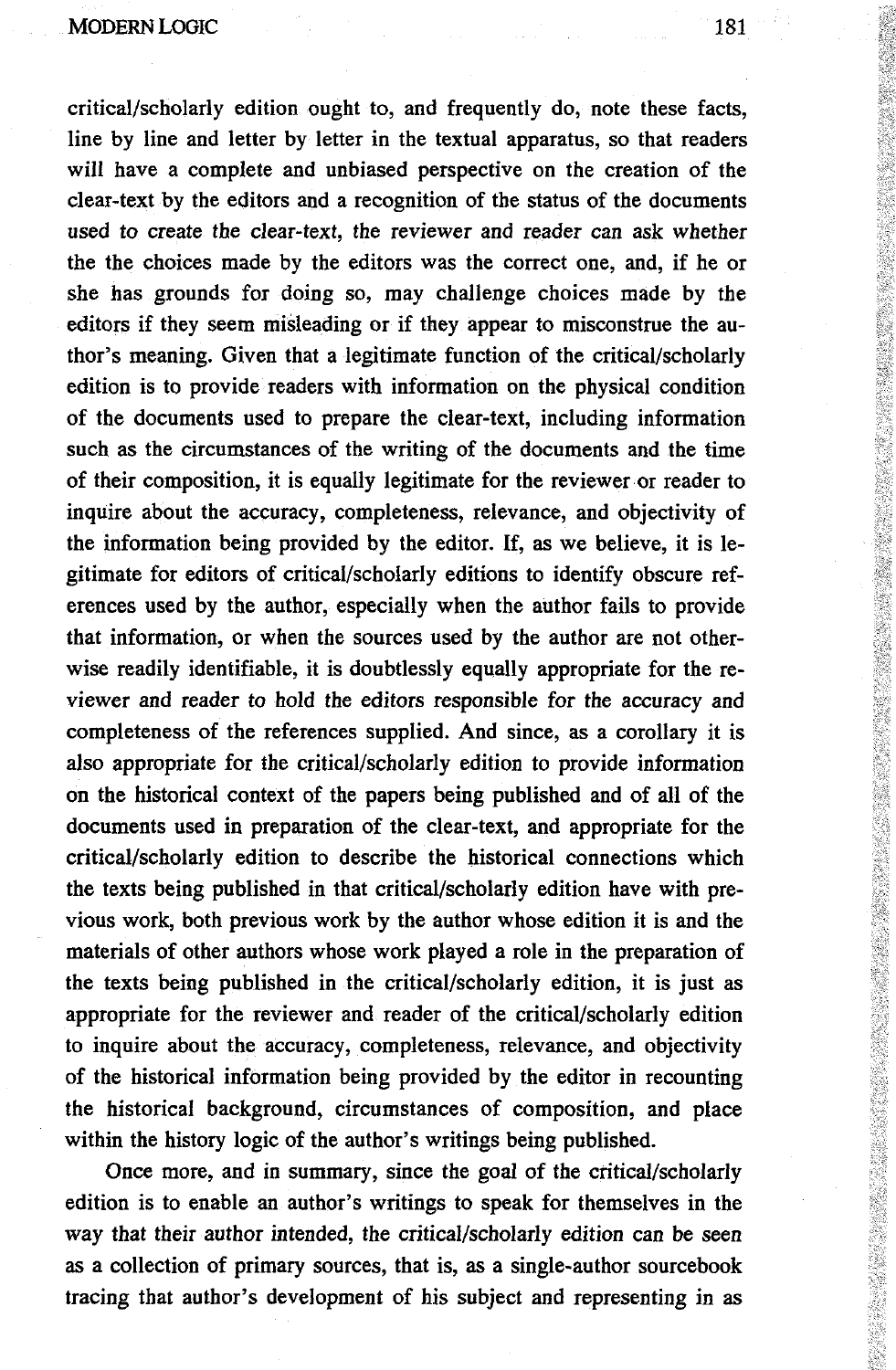MODERN LOGIC 181

critical/scholarly edition ought to, and frequently do, note these facts, line by line and letter by letter in the textual apparatus, so that readers will have a complete and unbiased perspective on the creation of the clear-text by the editors and a recognition of the status of the documents used to create the clear-text, the reviewer and reader can ask whether the the choices made by the editors was the correct one, and, if he or she has grounds for doing so, may challenge choices made by the editors if they seem misleading or if they appear to misconstrue the author's meaning. Given that a legitimate function of the critical/scholarly edition is to provide readers with information on the physical condition of the documents used to prepare the clear-text, including information such as the circumstances of the writing of the documents and the time of their composition, it is equally legitimate for the reviewer or reader to inquire about the accuracy, completeness, relevance, and objectivity of the information being provided by the editor. If, as we believe, it is legitimate for editors of critical/scholarly editions to identify obscure references used by the author, especially when the author fails to provide that information, or when the sources used by the author are not otherwise readily identifiable, it is doubtlessly equally appropriate for the reviewer and reader to hold the editors responsible for the accuracy and completeness of the references supplied. And since, as a corollary it is also appropriate for the critical/scholarly edition to provide information on the historical context of the papers being published and of all of the documents used in preparation of the clear-text, and appropriate for the critical/scholarly edition to describe the historical connections which the texts being published in that critical/scholarly edition have with previous work, both previous work by the author whose edition it is and the materials of other authors whose work played a role in the preparation of the texts being published in the critical/scholarly edition, it is just as appropriate for the reviewer and reader of the critical/scholarly edition to inquire about the accuracy, completeness, relevance, and objectivity of the historical information being provided by the editor in recounting the historical background, circumstances of composition, and place within the history logic of the author's writings being published.

Once more, and in summary, since the goal of the critical/scholarly edition is to enable an author's writings to speak for themselves in the way that their author intended, the critical/scholarly edition can be seen as a collection of primary sources, that is, as a single-author sourcebook tracing that author's development of his subject and representing in as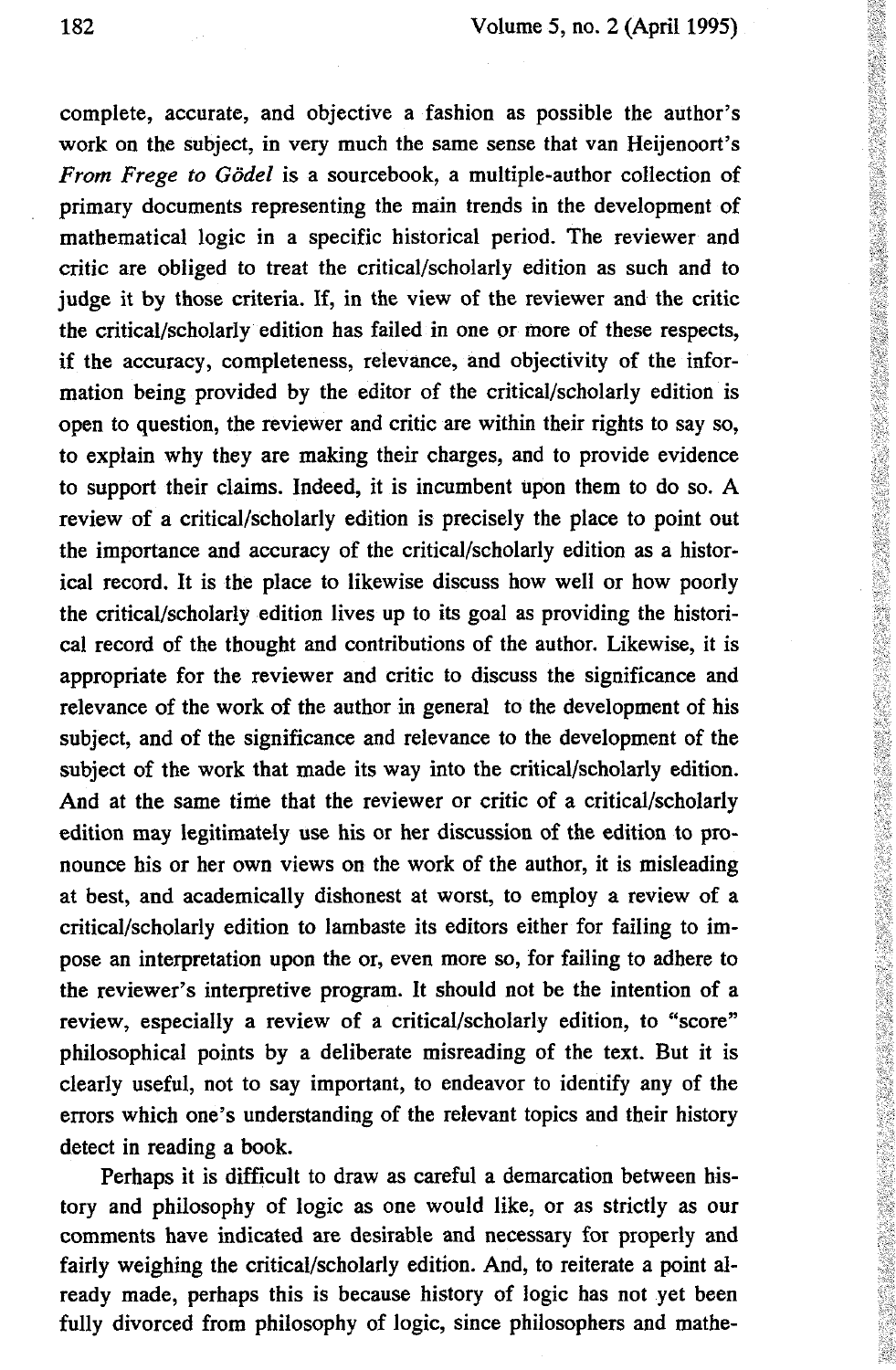complete, accurate, and objective a fashion as possible the author's work on the subject, in very much the same sense that van Heijenoort's *From Frege to Godei* is a sourcebook, a multiple-author collection of primary documents representing the main trends in the development of mathematical logic in a specific historical period. The reviewer and critic are obliged to treat the critical/scholarly edition as such and to judge it by those criteria. If, in the view of the reviewer and the critic the critical/scholarly edition has failed in one or more of these respects, if the accuracy, completeness, relevance, and objectivity of the information being provided by the editor of the critical/scholarly edition is open to question, the reviewer and critic are within their rights to say so, to explain why they are making their charges, and to provide evidence to support their claims. Indeed, it is incumbent upon them to do so. A review of a critical/scholarly edition is precisely the place to point out the importance and accuracy of the critical/scholarly edition as a historical record. It is the place to likewise discuss how well or how poorly the critical/scholarly edition lives up to its goal as providing the historical record of the thought and contributions of the author. Likewise, it is appropriate for the reviewer and critic to discuss the significance and relevance of the work of the author in general to the development of his subject, and of the significance and relevance to the development of the subject of the work that made its way into the critical/scholarly edition. And at the same time that the reviewer or critic of a critical/scholarly edition may legitimately use his or her discussion of the edition to pronounce his or her own views on the work of the author, it is misleading at best, and academically dishonest at worst, to employ a review of a critical/scholarly edition to lambaste its editors either for failing to impose an interpretation upon the or, even more so, for failing to adhere to the reviewer's interpretive program. It should not be the intention of a review, especially a review of a critical/scholarly edition, to "score" philosophical points by a deliberate misreading of the text. But it is clearly useful, not to say important, to endeavor to identify any of the errors which one's understanding of the relevant topics and their history detect in reading a book.

Perhaps it is difficult to draw as careful a demarcation between history and philosophy of logic as one would like, or as strictly as our comments have indicated are desirable and necessary for properly and fairly weighing the critical/scholarly edition. And, to reiterate a point already made, perhaps this is because history of logic has not yet been fully divorced from philosophy of logic, since philosophers and mathe-